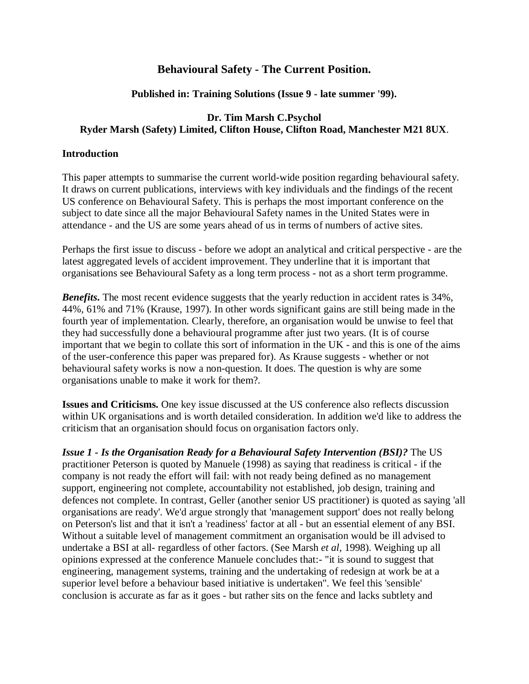# **Behavioural Safety - The Current Position.**

### **Published in: Training Solutions (Issue 9 - late summer '99).**

## **Dr. Tim Marsh C.Psychol Ryder Marsh (Safety) Limited, Clifton House, Clifton Road, Manchester M21 8UX**.

#### **Introduction**

This paper attempts to summarise the current world-wide position regarding behavioural safety. It draws on current publications, interviews with key individuals and the findings of the recent US conference on Behavioural Safety. This is perhaps the most important conference on the subject to date since all the major Behavioural Safety names in the United States were in attendance - and the US are some years ahead of us in terms of numbers of active sites.

Perhaps the first issue to discuss - before we adopt an analytical and critical perspective - are the latest aggregated levels of accident improvement. They underline that it is important that organisations see Behavioural Safety as a long term process - not as a short term programme.

*Benefits***.** The most recent evidence suggests that the yearly reduction in accident rates is 34%, 44%, 61% and 71% (Krause, 1997). In other words significant gains are still being made in the fourth year of implementation. Clearly, therefore, an organisation would be unwise to feel that they had successfully done a behavioural programme after just two years. (It is of course important that we begin to collate this sort of information in the UK - and this is one of the aims of the user-conference this paper was prepared for). As Krause suggests - whether or not behavioural safety works is now a non-question. It does. The question is why are some organisations unable to make it work for them?.

**Issues and Criticisms.** One key issue discussed at the US conference also reflects discussion within UK organisations and is worth detailed consideration. In addition we'd like to address the criticism that an organisation should focus on organisation factors only.

*Issue 1 - Is the Organisation Ready for a Behavioural Safety Intervention (BSI)?* The US practitioner Peterson is quoted by Manuele (1998) as saying that readiness is critical - if the company is not ready the effort will fail: with not ready being defined as no management support, engineering not complete, accountability not established, job design, training and defences not complete. In contrast, Geller (another senior US practitioner) is quoted as saying 'all organisations are ready'. We'd argue strongly that 'management support' does not really belong on Peterson's list and that it isn't a 'readiness' factor at all - but an essential element of any BSI. Without a suitable level of management commitment an organisation would be ill advised to undertake a BSI at all- regardless of other factors. (See Marsh *et al,* 1998). Weighing up all opinions expressed at the conference Manuele concludes that:- "it is sound to suggest that engineering, management systems, training and the undertaking of redesign at work be at a superior level before a behaviour based initiative is undertaken". We feel this 'sensible' conclusion is accurate as far as it goes - but rather sits on the fence and lacks subtlety and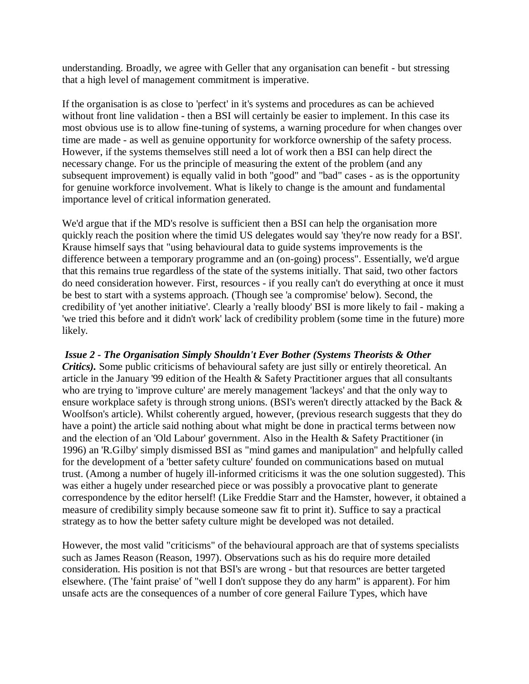understanding. Broadly, we agree with Geller that any organisation can benefit - but stressing that a high level of management commitment is imperative.

If the organisation is as close to 'perfect' in it's systems and procedures as can be achieved without front line validation - then a BSI will certainly be easier to implement. In this case its most obvious use is to allow fine-tuning of systems, a warning procedure for when changes over time are made - as well as genuine opportunity for workforce ownership of the safety process. However, if the systems themselves still need a lot of work then a BSI can help direct the necessary change. For us the principle of measuring the extent of the problem (and any subsequent improvement) is equally valid in both "good" and "bad" cases - as is the opportunity for genuine workforce involvement. What is likely to change is the amount and fundamental importance level of critical information generated.

We'd argue that if the MD's resolve is sufficient then a BSI can help the organisation more quickly reach the position where the timid US delegates would say 'they're now ready for a BSI'. Krause himself says that "using behavioural data to guide systems improvements is the difference between a temporary programme and an (on-going) process". Essentially, we'd argue that this remains true regardless of the state of the systems initially. That said, two other factors do need consideration however. First, resources - if you really can't do everything at once it must be best to start with a systems approach. (Though see 'a compromise' below). Second, the credibility of 'yet another initiative'. Clearly a 'really bloody' BSI is more likely to fail - making a 'we tried this before and it didn't work' lack of credibility problem (some time in the future) more likely.

# *Issue 2 - The Organisation Simply Shouldn't Ever Bother (Systems Theorists & Other*

*Critics).* Some public criticisms of behavioural safety are just silly or entirely theoretical. An article in the January '99 edition of the Health & Safety Practitioner argues that all consultants who are trying to 'improve culture' are merely management 'lackeys' and that the only way to ensure workplace safety is through strong unions. (BSI's weren't directly attacked by the Back & Woolfson's article). Whilst coherently argued, however, (previous research suggests that they do have a point) the article said nothing about what might be done in practical terms between now and the election of an 'Old Labour' government. Also in the Health & Safety Practitioner (in 1996) an 'R.Gilby' simply dismissed BSI as "mind games and manipulation" and helpfully called for the development of a 'better safety culture' founded on communications based on mutual trust. (Among a number of hugely ill-informed criticisms it was the one solution suggested). This was either a hugely under researched piece or was possibly a provocative plant to generate correspondence by the editor herself! (Like Freddie Starr and the Hamster, however, it obtained a measure of credibility simply because someone saw fit to print it). Suffice to say a practical strategy as to how the better safety culture might be developed was not detailed.

However, the most valid "criticisms" of the behavioural approach are that of systems specialists such as James Reason (Reason, 1997). Observations such as his do require more detailed consideration. His position is not that BSI's are wrong - but that resources are better targeted elsewhere. (The 'faint praise' of "well I don't suppose they do any harm" is apparent). For him unsafe acts are the consequences of a number of core general Failure Types, which have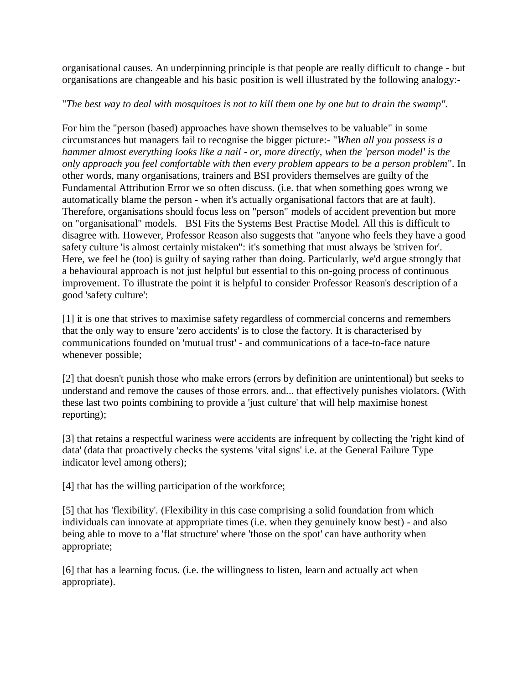organisational causes. An underpinning principle is that people are really difficult to change - but organisations are changeable and his basic position is well illustrated by the following analogy:-

## "*The best way to deal with mosquitoes is not to kill them one by one but to drain the swamp".*

For him the "person (based) approaches have shown themselves to be valuable" in some circumstances but managers fail to recognise the bigger picture:- "*When all you possess is a hammer almost everything looks like a nail* - *or, more directly, when the 'person model' is the only approach you feel comfortable with then every problem appears to be a person problem*". In other words, many organisations, trainers and BSI providers themselves are guilty of the Fundamental Attribution Error we so often discuss. (i.e. that when something goes wrong we automatically blame the person - when it's actually organisational factors that are at fault). Therefore, organisations should focus less on "person" models of accident prevention but more on "organisational" models. BSI Fits the Systems Best Practise Model. All this is difficult to disagree with. However, Professor Reason also suggests that "anyone who feels they have a good safety culture 'is almost certainly mistaken": it's something that must always be 'striven for'. Here, we feel he (too) is guilty of saying rather than doing. Particularly, we'd argue strongly that a behavioural approach is not just helpful but essential to this on-going process of continuous improvement. To illustrate the point it is helpful to consider Professor Reason's description of a good 'safety culture':

[1] it is one that strives to maximise safety regardless of commercial concerns and remembers that the only way to ensure 'zero accidents' is to close the factory. It is characterised by communications founded on 'mutual trust' - and communications of a face-to-face nature whenever possible;

[2] that doesn't punish those who make errors (errors by definition are unintentional) but seeks to understand and remove the causes of those errors. and... that effectively punishes violators. (With these last two points combining to provide a 'just culture' that will help maximise honest reporting);

[3] that retains a respectful wariness were accidents are infrequent by collecting the 'right kind of data' (data that proactively checks the systems 'vital signs' i.e. at the General Failure Type indicator level among others);

[4] that has the willing participation of the workforce;

[5] that has 'flexibility'. (Flexibility in this case comprising a solid foundation from which individuals can innovate at appropriate times (i.e. when they genuinely know best) - and also being able to move to a 'flat structure' where 'those on the spot' can have authority when appropriate;

[6] that has a learning focus. (i.e. the willingness to listen, learn and actually act when appropriate).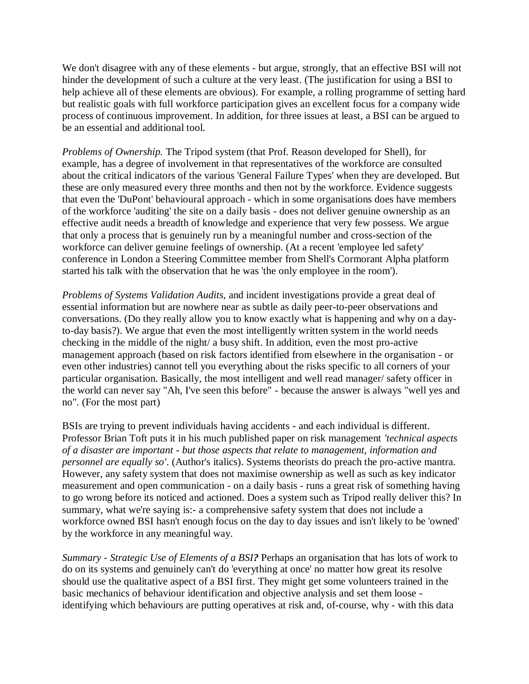We don't disagree with any of these elements - but argue, strongly, that an effective BSI will not hinder the development of such a culture at the very least. (The justification for using a BSI to help achieve all of these elements are obvious). For example, a rolling programme of setting hard but realistic goals with full workforce participation gives an excellent focus for a company wide process of continuous improvement. In addition, for three issues at least, a BSI can be argued to be an essential and additional tool.

*Problems of Ownership.* The Tripod system (that Prof. Reason developed for Shell), for example, has a degree of involvement in that representatives of the workforce are consulted about the critical indicators of the various 'General Failure Types' when they are developed. But these are only measured every three months and then not by the workforce. Evidence suggests that even the 'DuPont' behavioural approach - which in some organisations does have members of the workforce 'auditing' the site on a daily basis - does not deliver genuine ownership as an effective audit needs a breadth of knowledge and experience that very few possess. We argue that only a process that is genuinely run by a meaningful number and cross-section of the workforce can deliver genuine feelings of ownership. (At a recent 'employee led safety' conference in London a Steering Committee member from Shell's Cormorant Alpha platform started his talk with the observation that he was 'the only employee in the room').

*Problems of Systems Validation Audits,* and incident investigations provide a great deal of essential information but are nowhere near as subtle as daily peer-to-peer observations and conversations. (Do they really allow you to know exactly what is happening and why on a dayto-day basis?). We argue that even the most intelligently written system in the world needs checking in the middle of the night/ a busy shift. In addition, even the most pro-active management approach (based on risk factors identified from elsewhere in the organisation - or even other industries) cannot tell you everything about the risks specific to all corners of your particular organisation. Basically, the most intelligent and well read manager/ safety officer in the world can never say "Ah, I've seen this before" - because the answer is always "well yes and no". (For the most part)

BSIs are trying to prevent individuals having accidents - and each individual is different. Professor Brian Toft puts it in his much published paper on risk management *'technical aspects of a disaster are important - but those aspects that relate to management, information and personnel are equally so'*. (Author's italics). Systems theorists do preach the pro-active mantra. However, any safety system that does not maximise ownership as well as such as key indicator measurement and open communication - on a daily basis - runs a great risk of something having to go wrong before its noticed and actioned. Does a system such as Tripod really deliver this? In summary, what we're saying is:- a comprehensive safety system that does not include a workforce owned BSI hasn't enough focus on the day to day issues and isn't likely to be 'owned' by the workforce in any meaningful way.

*Summary - Strategic Use of Elements of a BSI?* Perhaps an organisation that has lots of work to do on its systems and genuinely can't do 'everything at once' no matter how great its resolve should use the qualitative aspect of a BSI first. They might get some volunteers trained in the basic mechanics of behaviour identification and objective analysis and set them loose identifying which behaviours are putting operatives at risk and, of-course, why - with this data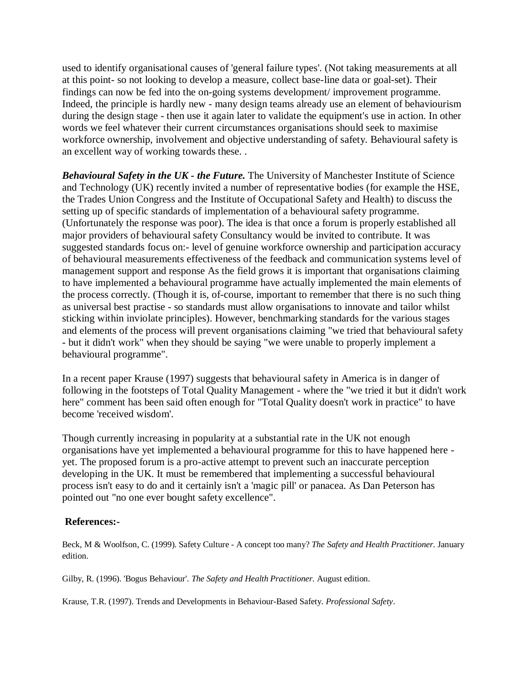used to identify organisational causes of 'general failure types'. (Not taking measurements at all at this point- so not looking to develop a measure, collect base-line data or goal-set). Their findings can now be fed into the on-going systems development/ improvement programme. Indeed, the principle is hardly new - many design teams already use an element of behaviourism during the design stage - then use it again later to validate the equipment's use in action. In other words we feel whatever their current circumstances organisations should seek to maximise workforce ownership, involvement and objective understanding of safety. Behavioural safety is an excellent way of working towards these. .

*Behavioural Safety in the UK - the Future.* The University of Manchester Institute of Science and Technology (UK) recently invited a number of representative bodies (for example the HSE, the Trades Union Congress and the Institute of Occupational Safety and Health) to discuss the setting up of specific standards of implementation of a behavioural safety programme. (Unfortunately the response was poor). The idea is that once a forum is properly established all major providers of behavioural safety Consultancy would be invited to contribute. It was suggested standards focus on:- level of genuine workforce ownership and participation accuracy of behavioural measurements effectiveness of the feedback and communication systems level of management support and response As the field grows it is important that organisations claiming to have implemented a behavioural programme have actually implemented the main elements of the process correctly. (Though it is, of-course, important to remember that there is no such thing as universal best practise - so standards must allow organisations to innovate and tailor whilst sticking within inviolate principles). However, benchmarking standards for the various stages and elements of the process will prevent organisations claiming "we tried that behavioural safety - but it didn't work" when they should be saying "we were unable to properly implement a behavioural programme".

In a recent paper Krause (1997) suggests that behavioural safety in America is in danger of following in the footsteps of Total Quality Management - where the "we tried it but it didn't work here" comment has been said often enough for "Total Quality doesn't work in practice" to have become 'received wisdom'.

Though currently increasing in popularity at a substantial rate in the UK not enough organisations have yet implemented a behavioural programme for this to have happened here yet. The proposed forum is a pro-active attempt to prevent such an inaccurate perception developing in the UK. It must be remembered that implementing a successful behavioural process isn't easy to do and it certainly isn't a 'magic pill' or panacea. As Dan Peterson has pointed out "no one ever bought safety excellence".

# **References:-**

Beck, M & Woolfson, C. (1999). Safety Culture - A concept too many? *The Safety and Health Practitioner.* January edition.

Gilby, R. (1996). 'Bogus Behaviour'. *The Safety and Health Practitioner.* August edition.

Krause, T.R. (1997). Trends and Developments in Behaviour-Based Safety. *Professional Safety*.